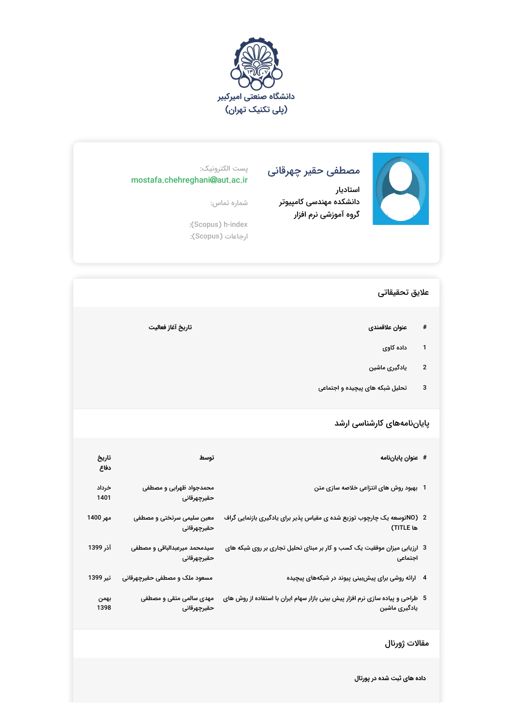



## مصطفی حقیر چهرقانی

استادیار دانشکده مهندسی کامپیوتر گروه آموزشی نرم افزار

## پست الکترونیک: mostafa.chehreghani@aut.ac.ir

شماره تماس:

:(Scopus) h-index ارجاعات (Scopus(:

## علایق تحقیقاتی

- **# عنوان علاقمندى تاریخ آغاز فعالیت**
	- 1 داده کاوی
	- 2 یادگیری ماشین
	- 3 تحلیل شبکه های پیچیده و اجتماعی

## پایاننامههای کارشناسی ارشد

| # عنوان پاياننامه                                                                                | توسط                                        | تاريخ<br>دفاع |
|--------------------------------------------------------------------------------------------------|---------------------------------------------|---------------|
| 1   بهبود روش های انتزاعی خلاصه سازی متن                                                         | محمدجواد ظهرابی و مصطفی<br>حقيرچهرقانى      | خرداد<br>1401 |
| 2   (NOتوسعه یک چارچوب توزیع شده ی مقیاس پذیر برای یادگیری بازنمایی گراف<br>ها TITLE)            | معین سلیمی سرتختی و مصطفی<br>حقيرچهرقانى    | مهر 1400      |
| 3 ارزیابی میزان موفقیت یک کسب و کار بر مبنای تحلیل تجاری بر روی شبکه های<br>اجتماعى              | سیدمحمد میرعبدالباقی و مصطفی<br>حقيرچهرقانى | آذر 1399      |
| 4 ارائه روشی برای پیشبینی پیوند در شبکههای پیچیده                                                | مسعود ملک و مصطفی حقیرچهرقانی               | تير 1399      |
| 5٪ طراحی و پیاده سازی نرم افزار پیش بینی بازار سهام ایران با استفاده از روش های<br>یادگیری ماشین | مهدی سالمی متقی و مصطفی<br>حقيرچهرقانى      | بهمن<br>1398  |

مقالات ژورنال

**داده های ثبت شده در پورتال**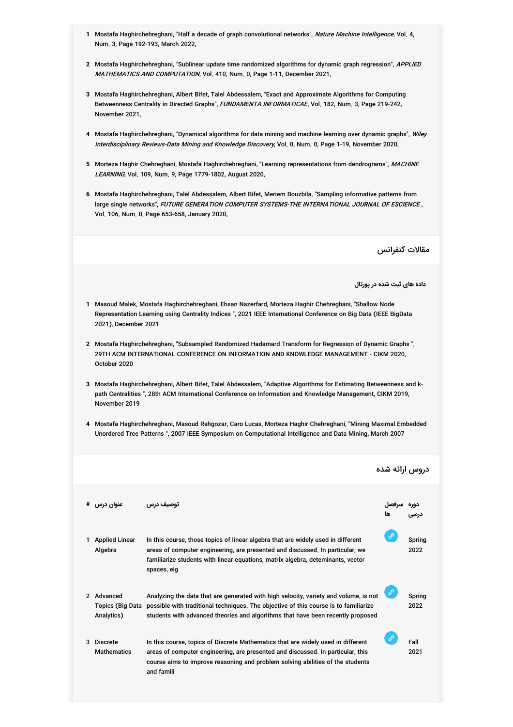- 1 Mostafa Haghirchehreghani, "Half a decade of graph convolutional networks", *Nature Machine Intelligence*, Vol. 4, Num. 3, Page 192-193, March 2022,
- **2** Mostafa Haghirchehreghani, "Sublinear update time randomized algorithms for dynamic graph regression", APPLIED *MATHEMATICS AND COMPUTATION*, Vol. 410, Num. 0, Page 1-11, December 2021,
- **3** Mostafa Haghirchehreghani, Albert Bifet, Talel Abdessalem, "Exact and Approximate Algorithms for Computing Betweenness Centrality in Directed Graphs", *FUNDAMENTA INFORMATICAE*, Vol. 182, Num. 3, Page 219-242, November 2021,
- **4** Mostafa Haghirchehreghani, "Dynamical algorithms for data mining and machine learning over dynamic graphs", Wiley I*nterdisciplinary Reviews-Data Mining and Knowledge Discovery*, Vol. 0, Num. 0, Page 1-19, November 2020,
- **5** Morteza Haghir Chehreghani, Mostafa Haghirchehreghani, "Learning representations from dendrograms", MACHINE *LEARNING*, Vol. 109, Num. 9, Page 1779-1802, August 2020,
- **6** Mostafa Haghirchehreghani, Talel Abdessalem, Albert Bifet, Meriem Bouzbila, "Sampling informative patterns from large single networks", *FUTURE GENERATION COMPUTER SYSTEMS-THE INTERNATIONAL JOURNAL OF ESCIENCE* , Vol. 106, Num. 0, Page 653-658, January 2020,

مقالات کنفرانس

**داده های ثبت شده در پورتال**

- **1** Masoud Malek, Mostafa Haghirchehreghani, Ehsan Nazerfard, Morteza Haghir Chehreghani, "Shallow Node Representation Learning using Centrality Indices ", 2021 IEEE International Conference on Big Data (IEEE BigData 2021), December 2021
- **2** Mostafa Haghirchehreghani, "Subsampled Randomized Hadamard Transform for Regression of Dynamic Graphs ", 29TH ACM INTERNATIONAL CONFERENCE ON INFORMATION AND KNOWLEDGE MANAGEMENT - CIKM 2020, October 2020
- **3** Mostafa Haghirchehreghani, Albert Bifet, Talel Abdessalem, "Adaptive Algorithms for Estimating Betweenness and kpath Centralities ", 28th ACM International Conference on Information and Knowledge Management, CIKM 2019, November 2019
- **4** Mostafa Haghirchehreghani, Masoud Rahgozar, Caro Lucas, Morteza Haghir Chehreghani, "Mining Maximal Embedded Unordered Tree Patterns ", 2007 IEEE Symposium on Computational Intelligence and Data Mining, March 2007